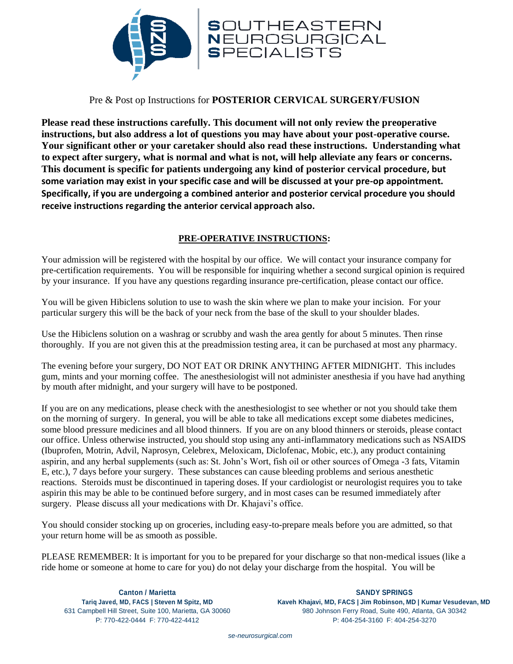

# Pre & Post op Instructions for **POSTERIOR CERVICAL SURGERY/FUSION**

**Please read these instructions carefully. This document will not only review the preoperative instructions, but also address a lot of questions you may have about your post-operative course. Your significant other or your caretaker should also read these instructions. Understanding what to expect after surgery, what is normal and what is not, will help alleviate any fears or concerns. This document is specific for patients undergoing any kind of posterior cervical procedure, but some variation may exist in your specific case and will be discussed at your pre-op appointment. Specifically, if you are undergoing a combined anterior and posterior cervical procedure you should receive instructions regarding the anterior cervical approach also.** 

## **PRE-OPERATIVE INSTRUCTIONS:**

Your admission will be registered with the hospital by our office. We will contact your insurance company for pre-certification requirements. You will be responsible for inquiring whether a second surgical opinion is required by your insurance. If you have any questions regarding insurance pre-certification, please contact our office.

You will be given Hibiclens solution to use to wash the skin where we plan to make your incision. For your particular surgery this will be the back of your neck from the base of the skull to your shoulder blades.

Use the Hibiclens solution on a washrag or scrubby and wash the area gently for about 5 minutes. Then rinse thoroughly. If you are not given this at the preadmission testing area, it can be purchased at most any pharmacy.

The evening before your surgery, DO NOT EAT OR DRINK ANYTHING AFTER MIDNIGHT. This includes gum, mints and your morning coffee. The anesthesiologist will not administer anesthesia if you have had anything by mouth after midnight, and your surgery will have to be postponed.

If you are on any medications, please check with the anesthesiologist to see whether or not you should take them on the morning of surgery. In general, you will be able to take all medications except some diabetes medicines, some blood pressure medicines and all blood thinners. If you are on any blood thinners or steroids, please contact our office. Unless otherwise instructed, you should stop using any anti-inflammatory medications such as NSAIDS (Ibuprofen, Motrin, Advil, Naprosyn, Celebrex, Meloxicam, Diclofenac, Mobic, etc.), any product containing aspirin, and any herbal supplements (such as: St. John's Wort, fish oil or other sources of Omega -3 fats, Vitamin E, etc.), 7 days before your surgery. These substances can cause bleeding problems and serious anesthetic reactions. Steroids must be discontinued in tapering doses. If your cardiologist or neurologist requires you to take aspirin this may be able to be continued before surgery, and in most cases can be resumed immediately after surgery. Please discuss all your medications with Dr. Khajavi's office.

You should consider stocking up on groceries, including easy-to-prepare meals before you are admitted, so that your return home will be as smooth as possible.

PLEASE REMEMBER: It is important for you to be prepared for your discharge so that non-medical issues (like a ride home or someone at home to care for you) do not delay your discharge from the hospital. You will be

**Canton / Marietta SANDY SPRINGS Tariq Javed, MD, FACS | Steven M Spitz, MD Kaveh Khajavi, MD, FACS | Jim Robinson, MD | Kumar Vesudevan, MD** 631 Campbell Hill Street, Suite 100, Marietta, GA 30060 980 Johnson Ferry Road, Suite 490, Atlanta, GA 30342 P: 770-422-0444 F: 770-422-4412 P: 404-254-3160 F: 404-254-3270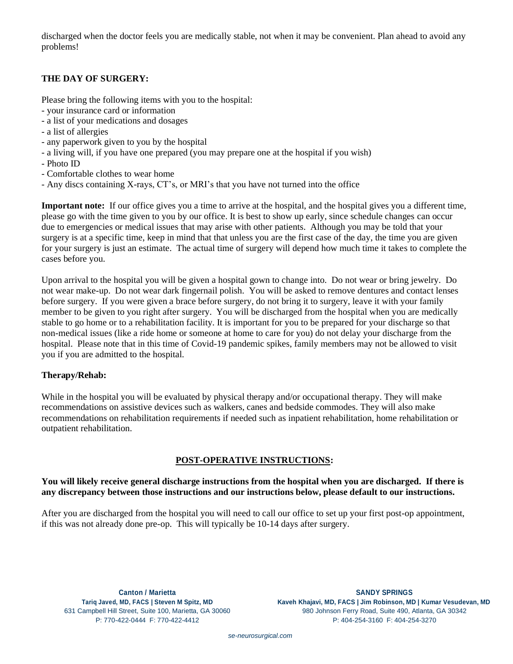discharged when the doctor feels you are medically stable, not when it may be convenient. Plan ahead to avoid any problems!

# **THE DAY OF SURGERY:**

Please bring the following items with you to the hospital:

- your insurance card or information
- a list of your medications and dosages
- a list of allergies
- any paperwork given to you by the hospital
- a living will, if you have one prepared (you may prepare one at the hospital if you wish)
- Photo ID
- Comfortable clothes to wear home
- Any discs containing X-rays, CT's, or MRI's that you have not turned into the office

**Important note:** If our office gives you a time to arrive at the hospital, and the hospital gives you a different time, please go with the time given to you by our office. It is best to show up early, since schedule changes can occur due to emergencies or medical issues that may arise with other patients. Although you may be told that your surgery is at a specific time, keep in mind that that unless you are the first case of the day, the time you are given for your surgery is just an estimate. The actual time of surgery will depend how much time it takes to complete the cases before you.

Upon arrival to the hospital you will be given a hospital gown to change into. Do not wear or bring jewelry. Do not wear make-up. Do not wear dark fingernail polish. You will be asked to remove dentures and contact lenses before surgery. If you were given a brace before surgery, do not bring it to surgery, leave it with your family member to be given to you right after surgery. You will be discharged from the hospital when you are medically stable to go home or to a rehabilitation facility. It is important for you to be prepared for your discharge so that non-medical issues (like a ride home or someone at home to care for you) do not delay your discharge from the hospital. Please note that in this time of Covid-19 pandemic spikes, family members may not be allowed to visit you if you are admitted to the hospital.

## **Therapy/Rehab:**

While in the hospital you will be evaluated by physical therapy and/or occupational therapy. They will make recommendations on assistive devices such as walkers, canes and bedside commodes. They will also make recommendations on rehabilitation requirements if needed such as inpatient rehabilitation, home rehabilitation or outpatient rehabilitation.

## **POST-OPERATIVE INSTRUCTIONS:**

**You will likely receive general discharge instructions from the hospital when you are discharged. If there is any discrepancy between those instructions and our instructions below, please default to our instructions.** 

After you are discharged from the hospital you will need to call our office to set up your first post-op appointment, if this was not already done pre-op. This will typically be 10-14 days after surgery.

**Canton / Marietta SANDY SPRINGS Tariq Javed, MD, FACS | Steven M Spitz, MD Kaveh Khajavi, MD, FACS | Jim Robinson, MD | Kumar Vesudevan, MD** 631 Campbell Hill Street, Suite 100, Marietta, GA 30060 980 Johnson Ferry Road, Suite 490, Atlanta, GA 30342 P: 770-422-0444 F: 770-422-4412 P: 404-254-3160 F: 404-254-3270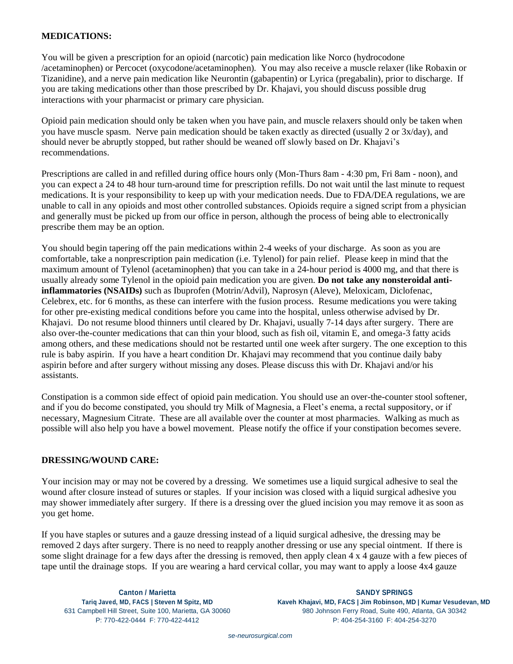### **MEDICATIONS:**

You will be given a prescription for an opioid (narcotic) pain medication like Norco (hydrocodone /acetaminophen) or Percocet (oxycodone/acetaminophen). You may also receive a muscle relaxer (like Robaxin or Tizanidine), and a nerve pain medication like Neurontin (gabapentin) or Lyrica (pregabalin), prior to discharge. If you are taking medications other than those prescribed by Dr. Khajavi, you should discuss possible drug interactions with your pharmacist or primary care physician.

Opioid pain medication should only be taken when you have pain, and muscle relaxers should only be taken when you have muscle spasm. Nerve pain medication should be taken exactly as directed (usually 2 or 3x/day), and should never be abruptly stopped, but rather should be weaned off slowly based on Dr. Khajavi's recommendations.

Prescriptions are called in and refilled during office hours only (Mon-Thurs 8am - 4:30 pm, Fri 8am - noon), and you can expect a 24 to 48 hour turn-around time for prescription refills. Do not wait until the last minute to request medications. It is your responsibility to keep up with your medication needs. Due to FDA/DEA regulations, we are unable to call in any opioids and most other controlled substances. Opioids require a signed script from a physician and generally must be picked up from our office in person, although the process of being able to electronically prescribe them may be an option.

You should begin tapering off the pain medications within 2-4 weeks of your discharge. As soon as you are comfortable, take a nonprescription pain medication (i.e. Tylenol) for pain relief. Please keep in mind that the maximum amount of Tylenol (acetaminophen) that you can take in a 24-hour period is 4000 mg, and that there is usually already some Tylenol in the opioid pain medication you are given. **Do not take any nonsteroidal antiinflammatories (NSAIDs)** such as Ibuprofen (Motrin/Advil), Naprosyn (Aleve), Meloxicam, Diclofenac, Celebrex, etc. for 6 months, as these can interfere with the fusion process. Resume medications you were taking for other pre-existing medical conditions before you came into the hospital, unless otherwise advised by Dr. Khajavi. Do not resume blood thinners until cleared by Dr. Khajavi, usually 7-14 days after surgery. There are also over-the-counter medications that can thin your blood, such as fish oil, vitamin E, and omega-3 fatty acids among others, and these medications should not be restarted until one week after surgery. The one exception to this rule is baby aspirin. If you have a heart condition Dr. Khajavi may recommend that you continue daily baby aspirin before and after surgery without missing any doses. Please discuss this with Dr. Khajavi and/or his assistants.

Constipation is a common side effect of opioid pain medication. You should use an over-the-counter stool softener, and if you do become constipated, you should try Milk of Magnesia, a Fleet's enema, a rectal suppository, or if necessary, Magnesium Citrate. These are all available over the counter at most pharmacies. Walking as much as possible will also help you have a bowel movement. Please notify the office if your constipation becomes severe.

#### **DRESSING/WOUND CARE:**

Your incision may or may not be covered by a dressing. We sometimes use a liquid surgical adhesive to seal the wound after closure instead of sutures or staples. If your incision was closed with a liquid surgical adhesive you may shower immediately after surgery. If there is a dressing over the glued incision you may remove it as soon as you get home.

If you have staples or sutures and a gauze dressing instead of a liquid surgical adhesive, the dressing may be removed 2 days after surgery. There is no need to reapply another dressing or use any special ointment. If there is some slight drainage for a few days after the dressing is removed, then apply clean 4 x 4 gauze with a few pieces of tape until the drainage stops. If you are wearing a hard cervical collar, you may want to apply a loose 4x4 gauze

**Canton / Marietta SANDY SPRINGS Tariq Javed, MD, FACS | Steven M Spitz, MD Kaveh Khajavi, MD, FACS | Jim Robinson, MD | Kumar Vesudevan, MD** 631 Campbell Hill Street, Suite 100, Marietta, GA 30060 980 Johnson Ferry Road, Suite 490, Atlanta, GA 30342 P: 770-422-0444 F: 770-422-4412 P: 404-254-3160 F: 404-254-3270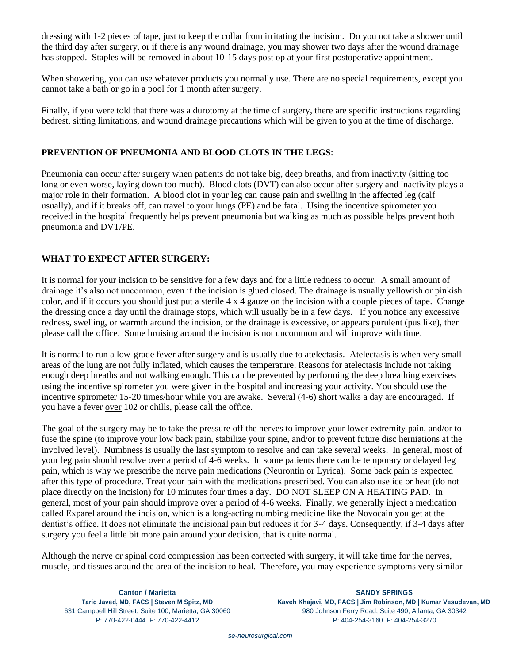dressing with 1-2 pieces of tape, just to keep the collar from irritating the incision. Do you not take a shower until the third day after surgery, or if there is any wound drainage, you may shower two days after the wound drainage has stopped. Staples will be removed in about 10-15 days post op at your first postoperative appointment.

When showering, you can use whatever products you normally use. There are no special requirements, except you cannot take a bath or go in a pool for 1 month after surgery.

Finally, if you were told that there was a durotomy at the time of surgery, there are specific instructions regarding bedrest, sitting limitations, and wound drainage precautions which will be given to you at the time of discharge.

### **PREVENTION OF PNEUMONIA AND BLOOD CLOTS IN THE LEGS**:

Pneumonia can occur after surgery when patients do not take big, deep breaths, and from inactivity (sitting too long or even worse, laying down too much). Blood clots (DVT) can also occur after surgery and inactivity plays a major role in their formation. A blood clot in your leg can cause pain and swelling in the affected leg (calf usually), and if it breaks off, can travel to your lungs (PE) and be fatal. Using the incentive spirometer you received in the hospital frequently helps prevent pneumonia but walking as much as possible helps prevent both pneumonia and DVT/PE.

# **WHAT TO EXPECT AFTER SURGERY:**

It is normal for your incision to be sensitive for a few days and for a little redness to occur. A small amount of drainage it's also not uncommon, even if the incision is glued closed. The drainage is usually yellowish or pinkish color, and if it occurs you should just put a sterile 4 x 4 gauze on the incision with a couple pieces of tape. Change the dressing once a day until the drainage stops, which will usually be in a few days. If you notice any excessive redness, swelling, or warmth around the incision, or the drainage is excessive, or appears purulent (pus like), then please call the office. Some bruising around the incision is not uncommon and will improve with time.

It is normal to run a low-grade fever after surgery and is usually due to atelectasis. Atelectasis is when very small areas of the lung are not fully inflated, which causes the temperature. Reasons for atelectasis include not taking enough deep breaths and not walking enough. This can be prevented by performing the deep breathing exercises using the incentive spirometer you were given in the hospital and increasing your activity. You should use the incentive spirometer 15-20 times/hour while you are awake. Several (4-6) short walks a day are encouraged. If you have a fever over 102 or chills, please call the office.

The goal of the surgery may be to take the pressure off the nerves to improve your lower extremity pain, and/or to fuse the spine (to improve your low back pain, stabilize your spine, and/or to prevent future disc herniations at the involved level). Numbness is usually the last symptom to resolve and can take several weeks. In general, most of your leg pain should resolve over a period of 4-6 weeks. In some patients there can be temporary or delayed leg pain, which is why we prescribe the nerve pain medications (Neurontin or Lyrica). Some back pain is expected after this type of procedure. Treat your pain with the medications prescribed. You can also use ice or heat (do not place directly on the incision) for 10 minutes four times a day. DO NOT SLEEP ON A HEATING PAD. In general, most of your pain should improve over a period of 4-6 weeks. Finally, we generally inject a medication called Exparel around the incision, which is a long-acting numbing medicine like the Novocain you get at the dentist's office. It does not eliminate the incisional pain but reduces it for 3-4 days. Consequently, if 3-4 days after surgery you feel a little bit more pain around your decision, that is quite normal.

Although the nerve or spinal cord compression has been corrected with surgery, it will take time for the nerves, muscle, and tissues around the area of the incision to heal. Therefore, you may experience symptoms very similar

**Canton / Marietta SANDY SPRINGS Tariq Javed, MD, FACS | Steven M Spitz, MD Kaveh Khajavi, MD, FACS | Jim Robinson, MD | Kumar Vesudevan, MD** 631 Campbell Hill Street, Suite 100, Marietta, GA 30060 980 Johnson Ferry Road, Suite 490, Atlanta, GA 30342 P: 770-422-0444 F: 770-422-4412 P: 404-254-3160 F: 404-254-3270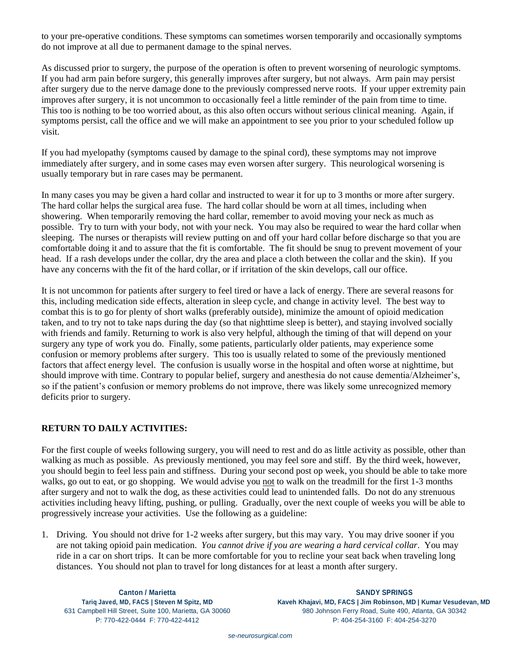to your pre-operative conditions. These symptoms can sometimes worsen temporarily and occasionally symptoms do not improve at all due to permanent damage to the spinal nerves.

As discussed prior to surgery, the purpose of the operation is often to prevent worsening of neurologic symptoms. If you had arm pain before surgery, this generally improves after surgery, but not always. Arm pain may persist after surgery due to the nerve damage done to the previously compressed nerve roots. If your upper extremity pain improves after surgery, it is not uncommon to occasionally feel a little reminder of the pain from time to time. This too is nothing to be too worried about, as this also often occurs without serious clinical meaning. Again, if symptoms persist, call the office and we will make an appointment to see you prior to your scheduled follow up visit.

If you had myelopathy (symptoms caused by damage to the spinal cord), these symptoms may not improve immediately after surgery, and in some cases may even worsen after surgery. This neurological worsening is usually temporary but in rare cases may be permanent.

In many cases you may be given a hard collar and instructed to wear it for up to 3 months or more after surgery. The hard collar helps the surgical area fuse. The hard collar should be worn at all times, including when showering. When temporarily removing the hard collar, remember to avoid moving your neck as much as possible. Try to turn with your body, not with your neck. You may also be required to wear the hard collar when sleeping. The nurses or therapists will review putting on and off your hard collar before discharge so that you are comfortable doing it and to assure that the fit is comfortable. The fit should be snug to prevent movement of your head. If a rash develops under the collar, dry the area and place a cloth between the collar and the skin). If you have any concerns with the fit of the hard collar, or if irritation of the skin develops, call our office.

It is not uncommon for patients after surgery to feel tired or have a lack of energy. There are several reasons for this, including medication side effects, alteration in sleep cycle, and change in activity level. The best way to combat this is to go for plenty of short walks (preferably outside), minimize the amount of opioid medication taken, and to try not to take naps during the day (so that nighttime sleep is better), and staying involved socially with friends and family. Returning to work is also very helpful, although the timing of that will depend on your surgery any type of work you do. Finally, some patients, particularly older patients, may experience some confusion or memory problems after surgery. This too is usually related to some of the previously mentioned factors that affect energy level. The confusion is usually worse in the hospital and often worse at nighttime, but should improve with time. Contrary to popular belief, surgery and anesthesia do not cause dementia/Alzheimer's, so if the patient's confusion or memory problems do not improve, there was likely some unrecognized memory deficits prior to surgery.

# **RETURN TO DAILY ACTIVITIES:**

For the first couple of weeks following surgery, you will need to rest and do as little activity as possible, other than walking as much as possible. As previously mentioned, you may feel sore and stiff. By the third week, however, you should begin to feel less pain and stiffness. During your second post op week, you should be able to take more walks, go out to eat, or go shopping. We would advise you not to walk on the treadmill for the first 1-3 months after surgery and not to walk the dog, as these activities could lead to unintended falls. Do not do any strenuous activities including heavy lifting, pushing, or pulling. Gradually, over the next couple of weeks you will be able to progressively increase your activities. Use the following as a guideline:

1. Driving. You should not drive for 1-2 weeks after surgery, but this may vary. You may drive sooner if you are not taking opioid pain medication. *You cannot drive if you are wearing a hard cervical collar*. You may ride in a car on short trips. It can be more comfortable for you to recline your seat back when traveling long distances. You should not plan to travel for long distances for at least a month after surgery.

**Canton / Marietta SANDY SPRINGS Tariq Javed, MD, FACS | Steven M Spitz, MD Kaveh Khajavi, MD, FACS | Jim Robinson, MD | Kumar Vesudevan, MD** 631 Campbell Hill Street, Suite 100, Marietta, GA 30060 980 Johnson Ferry Road, Suite 490, Atlanta, GA 30342 P: 770-422-0444 F: 770-422-4412 P: 404-254-3160 F: 404-254-3270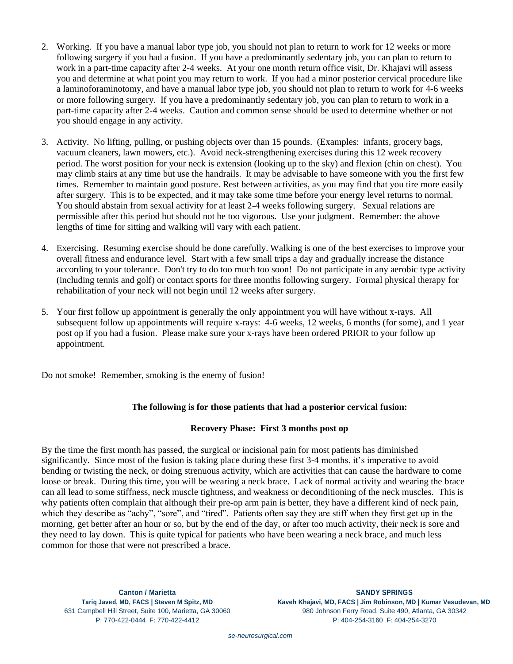- 2. Working. If you have a manual labor type job, you should not plan to return to work for 12 weeks or more following surgery if you had a fusion. If you have a predominantly sedentary job, you can plan to return to work in a part-time capacity after 2-4 weeks. At your one month return office visit, Dr. Khajavi will assess you and determine at what point you may return to work. If you had a minor posterior cervical procedure like a laminoforaminotomy, and have a manual labor type job, you should not plan to return to work for 4-6 weeks or more following surgery. If you have a predominantly sedentary job, you can plan to return to work in a part-time capacity after 2-4 weeks. Caution and common sense should be used to determine whether or not you should engage in any activity.
- 3. Activity. No lifting, pulling, or pushing objects over than 15 pounds. (Examples: infants, grocery bags, vacuum cleaners, lawn mowers, etc.). Avoid neck-strengthening exercises during this 12 week recovery period. The worst position for your neck is extension (looking up to the sky) and flexion (chin on chest). You may climb stairs at any time but use the handrails. It may be advisable to have someone with you the first few times. Remember to maintain good posture. Rest between activities, as you may find that you tire more easily after surgery. This is to be expected, and it may take some time before your energy level returns to normal. You should abstain from sexual activity for at least 2-4 weeks following surgery. Sexual relations are permissible after this period but should not be too vigorous. Use your judgment. Remember: the above lengths of time for sitting and walking will vary with each patient.
- 4. Exercising. Resuming exercise should be done carefully. Walking is one of the best exercises to improve your overall fitness and endurance level. Start with a few small trips a day and gradually increase the distance according to your tolerance. Don't try to do too much too soon! Do not participate in any aerobic type activity (including tennis and golf) or contact sports for three months following surgery. Formal physical therapy for rehabilitation of your neck will not begin until 12 weeks after surgery.
- 5. Your first follow up appointment is generally the only appointment you will have without x-rays. All subsequent follow up appointments will require x-rays: 4-6 weeks, 12 weeks, 6 months (for some), and 1 year post op if you had a fusion. Please make sure your x-rays have been ordered PRIOR to your follow up appointment.

Do not smoke! Remember, smoking is the enemy of fusion!

## **The following is for those patients that had a posterior cervical fusion:**

#### **Recovery Phase: First 3 months post op**

By the time the first month has passed, the surgical or incisional pain for most patients has diminished significantly. Since most of the fusion is taking place during these first 3-4 months, it's imperative to avoid bending or twisting the neck, or doing strenuous activity, which are activities that can cause the hardware to come loose or break. During this time, you will be wearing a neck brace. Lack of normal activity and wearing the brace can all lead to some stiffness, neck muscle tightness, and weakness or deconditioning of the neck muscles. This is why patients often complain that although their pre-op arm pain is better, they have a different kind of neck pain, which they describe as "achy", "sore", and "tired". Patients often say they are stiff when they first get up in the morning, get better after an hour or so, but by the end of the day, or after too much activity, their neck is sore and they need to lay down. This is quite typical for patients who have been wearing a neck brace, and much less common for those that were not prescribed a brace.

**Canton / Marietta SANDY SPRINGS Tariq Javed, MD, FACS | Steven M Spitz, MD Kaveh Khajavi, MD, FACS | Jim Robinson, MD | Kumar Vesudevan, MD** 631 Campbell Hill Street, Suite 100, Marietta, GA 30060 980 Johnson Ferry Road, Suite 490, Atlanta, GA 30342 P: 770-422-0444 F: 770-422-4412 P: 404-254-3160 F: 404-254-3270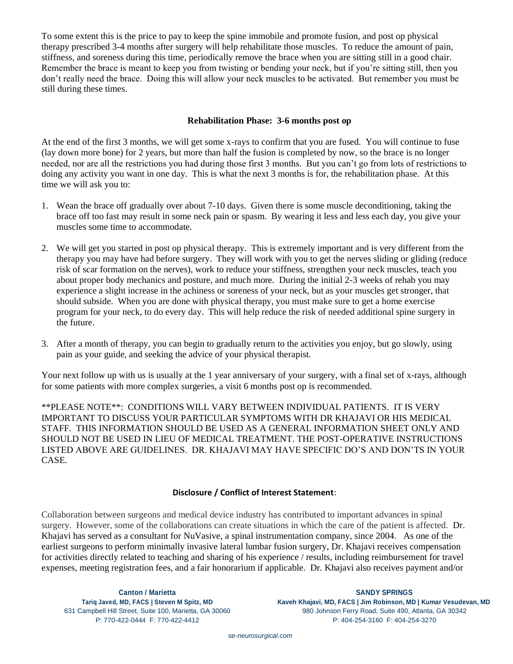To some extent this is the price to pay to keep the spine immobile and promote fusion, and post op physical therapy prescribed 3-4 months after surgery will help rehabilitate those muscles. To reduce the amount of pain, stiffness, and soreness during this time, periodically remove the brace when you are sitting still in a good chair. Remember the brace is meant to keep you from twisting or bending your neck, but if you're sitting still, then you don't really need the brace. Doing this will allow your neck muscles to be activated. But remember you must be still during these times.

#### **Rehabilitation Phase: 3-6 months post op**

At the end of the first 3 months, we will get some x-rays to confirm that you are fused. You will continue to fuse (lay down more bone) for 2 years, but more than half the fusion is completed by now, so the brace is no longer needed, nor are all the restrictions you had during those first 3 months. But you can't go from lots of restrictions to doing any activity you want in one day. This is what the next 3 months is for, the rehabilitation phase. At this time we will ask you to:

- 1. Wean the brace off gradually over about 7-10 days. Given there is some muscle deconditioning, taking the brace off too fast may result in some neck pain or spasm. By wearing it less and less each day, you give your muscles some time to accommodate.
- 2. We will get you started in post op physical therapy. This is extremely important and is very different from the therapy you may have had before surgery. They will work with you to get the nerves sliding or gliding (reduce risk of scar formation on the nerves), work to reduce your stiffness, strengthen your neck muscles, teach you about proper body mechanics and posture, and much more. During the initial 2-3 weeks of rehab you may experience a slight increase in the achiness or soreness of your neck, but as your muscles get stronger, that should subside. When you are done with physical therapy, you must make sure to get a home exercise program for your neck, to do every day. This will help reduce the risk of needed additional spine surgery in the future.
- 3. After a month of therapy, you can begin to gradually return to the activities you enjoy, but go slowly, using pain as your guide, and seeking the advice of your physical therapist.

Your next follow up with us is usually at the 1 year anniversary of your surgery, with a final set of x-rays, although for some patients with more complex surgeries, a visit 6 months post op is recommended.

\*\*PLEASE NOTE\*\*: CONDITIONS WILL VARY BETWEEN INDIVIDUAL PATIENTS. IT IS VERY IMPORTANT TO DISCUSS YOUR PARTICULAR SYMPTOMS WITH DR KHAJAVI OR HIS MEDICAL STAFF. THIS INFORMATION SHOULD BE USED AS A GENERAL INFORMATION SHEET ONLY AND SHOULD NOT BE USED IN LIEU OF MEDICAL TREATMENT. THE POST-OPERATIVE INSTRUCTIONS LISTED ABOVE ARE GUIDELINES. DR. KHAJAVI MAY HAVE SPECIFIC DO'S AND DON'TS IN YOUR CASE.

#### **Disclosure / Conflict of Interest Statement**:

Collaboration between surgeons and medical device industry has contributed to important advances in spinal surgery. However, some of the collaborations can create situations in which the care of the patient is affected. Dr. Khajavi has served as a consultant for NuVasive, a spinal instrumentation company, since 2004. As one of the earliest surgeons to perform minimally invasive lateral lumbar fusion surgery, Dr. Khajavi receives compensation for activities directly related to teaching and sharing of his experience / results, including reimbursement for travel expenses, meeting registration fees, and a fair honorarium if applicable. Dr. Khajavi also receives payment and/or

**Canton / Marietta SANDY SPRINGS Tariq Javed, MD, FACS | Steven M Spitz, MD Kaveh Khajavi, MD, FACS | Jim Robinson, MD | Kumar Vesudevan, MD** 631 Campbell Hill Street, Suite 100, Marietta, GA 30060 980 Johnson Ferry Road, Suite 490, Atlanta, GA 30342 P: 770-422-0444 F: 770-422-4412 P: 404-254-3160 F: 404-254-3270